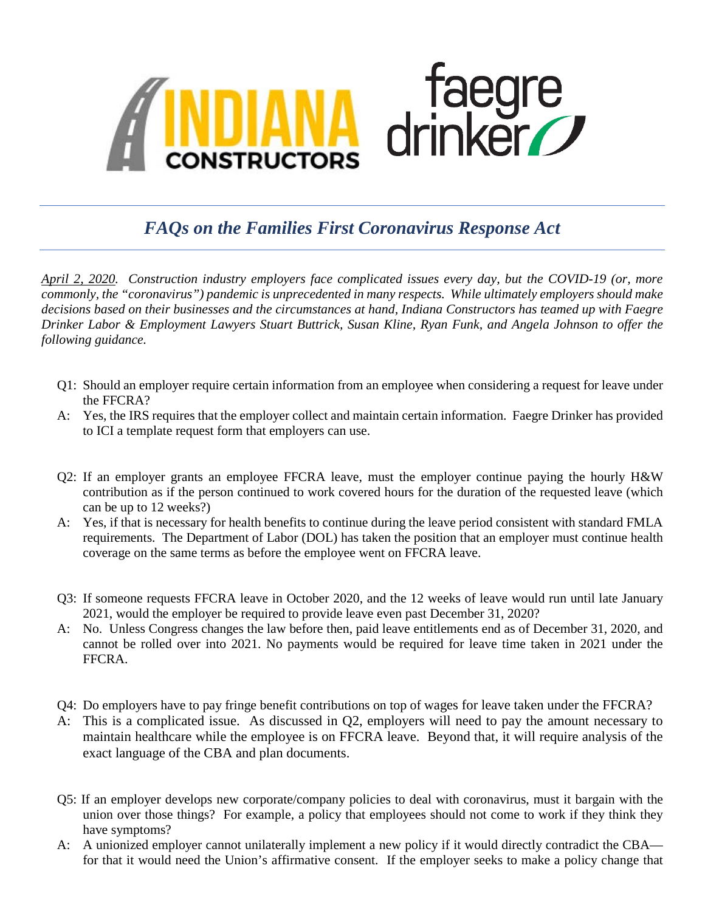

## *FAQs on the Families First Coronavirus Response Act*

*April 2, 2020. Construction industry employers face complicated issues every day, but the COVID-19 (or, more commonly, the "coronavirus") pandemic is unprecedented in many respects. While ultimately employers should make decisions based on their businesses and the circumstances at hand, Indiana Constructors has teamed up with Faegre Drinker Labor & Employment Lawyers Stuart Buttrick, Susan Kline, Ryan Funk, and Angela Johnson to offer the following guidance.* 

- Q1: Should an employer require certain information from an employee when considering a request for leave under the FFCRA?
- A: Yes, the IRS requires that the employer collect and maintain certain information. Faegre Drinker has provided to ICI a template request form that employers can use.
- Q2: If an employer grants an employee FFCRA leave, must the employer continue paying the hourly H&W contribution as if the person continued to work covered hours for the duration of the requested leave (which can be up to 12 weeks?)
- A: Yes, if that is necessary for health benefits to continue during the leave period consistent with standard FMLA requirements. The Department of Labor (DOL) has taken the position that an employer must continue health coverage on the same terms as before the employee went on FFCRA leave.
- Q3: If someone requests FFCRA leave in October 2020, and the 12 weeks of leave would run until late January 2021, would the employer be required to provide leave even past December 31, 2020?
- A: No. Unless Congress changes the law before then, paid leave entitlements end as of December 31, 2020, and cannot be rolled over into 2021. No payments would be required for leave time taken in 2021 under the FFCRA.
- Q4: Do employers have to pay fringe benefit contributions on top of wages for leave taken under the FFCRA?
- A: This is a complicated issue. As discussed in Q2, employers will need to pay the amount necessary to maintain healthcare while the employee is on FFCRA leave. Beyond that, it will require analysis of the exact language of the CBA and plan documents.
- Q5: If an employer develops new corporate/company policies to deal with coronavirus, must it bargain with the union over those things? For example, a policy that employees should not come to work if they think they have symptoms?
- A: A unionized employer cannot unilaterally implement a new policy if it would directly contradict the CBA for that it would need the Union's affirmative consent. If the employer seeks to make a policy change that